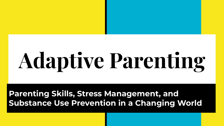# **Adaptive Parenting**

### **Parenting Skills, Stress Management, and Substance Use Prevention in a Changing World**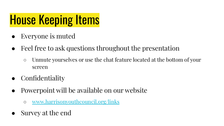## House Keeping Items

- Everyone is muted
- Feel free to ask questions throughout the presentation
	- Unmute yourselves or use the chat feature located at the bottom of your screen
- **Confidentiality**
- Powerpoint will be available on our website
	- [www.harrisonyouthcouncil.org/links](http://www.harrisonyouthcouncil.org/links)
- Survey at the end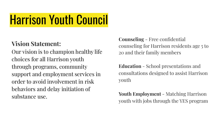### Harrison Youth Council

### **Vision Statement:**

Our vision is to champion healthy life choices for all Harrison youth through programs, community support and employment services in order to avoid involvement in risk behaviors and delay initiation of substance use.

**Counseling** - Free confidential counseling for Harrison residents age 5 to 20 and their family members

**Education** - School presentations and consultations designed to assist Harrison youth

**Youth Employment** - Matching Harrison youth with jobs through the YES program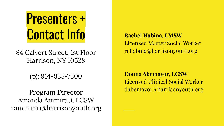# Presenters + Contact Info Rachel Habina, LMSW

84 Calvert Street, 1st Floor Harrison, NY 10528

(p): 914-835-7500

Program Director Amanda Ammirati, LCSW aammirati@harrisonyouth.org

 Licensed Master Social Worker rehabina@harrisonyouth.org

 **Donna Abemayor, LCSW**  Licensed Clinical Social Worker dabemayor@harrisonyouth.org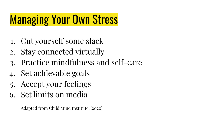### Managing Your Own Stress

- 1. Cut yourself some slack
- 2. Stay connected virtually
- 3. Practice mindfulness and self-care
- 4. Set achievable goals
- 5. Accept your feelings
- 6. Set limits on media

Adapted from Child Mind Institute, (2020)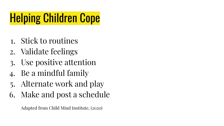## Helping Children Cope

- 1. Stick to routines
- 2. Validate feelings
- 3. Use positive attention
- 4. Be a mindful family
- 5. Alternate work and play
- 6. Make and post a schedule

Adapted from Child Mind Institute, (2020)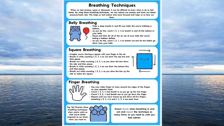#### **Breathing Techniques**

When we feel anxious, upset or distressed, it can be difficult to know what to do to feel better. By using these breathing techniques, we can reduce our anxiety and lower our blood pressure/heart rate. This helps us feel calmer and more focused and helps us to face our

fears.

#### **Belly Breathing**



- · Take a deep breath in and fill your belly like you're inflating a balloon.
- As you do this, count 1, 2, 3, 4 to breath in and fill the balloon in your belly.
- . Pause and then let all of the air out of your belly like you're letting a balloon deflate.
- As you do this, count 1, 2, 3, 4 to breath out and let the ballon go down from your belly.

#### **Square Breathing**

- . Imagine you're drawing a square with your finger in the air.
- Breath in while counting 1, 2, 3, 4 as you draw the top line and then pause.
- Breath out while counting 1, 2, 3, 4 as you draw the line down the side and then pause.
- Breath in while counting 1, 2, 3, 4 as you draw the bottom line and then pause.
- Breath out while counting 1, 2, 3, 4 as you draw the line up the side to make the square.

### **Finger Breathing**



. Use your index finger to trace around the edges of the fingers on your opposite hand.

- . Count 1, 2, 3, 4 and breath in as you go up the first finger.
- Count 1, 2, 3, 4 and breath out as you go down the finger. . Repeat until you have traced up and down all five fingers, breathing  $1, 2, 3, 4$  in and  $1, 2, 3, 4$  out each time.

**Top Tip! Practise these** breathing techniques when you're calm so that you're better prepared to use them when you need to.

HeartCBT

Count slowly when breathing in and out and repeat the technique as many times as you need to until you feel calmer.



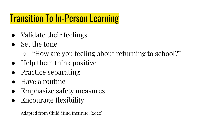### Transition To In-Person Learning

- Validate their feelings
- Set the tone
	- "How are you feeling about returning to school?"
- Help them think positive
- Practice separating
- Have a routine
- Emphasize safety measures
- **Encourage flexibility**

Adapted from Child Mind Institute, (2020)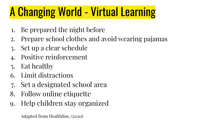## A Changing World - Virtual Learning

- 1. Be prepared the night before
- 2. Prepare school clothes and avoid wearing pajamas
- 3. Set up a clear schedule
- 4. Positive reinforcement
- 5. Eat healthy
- 6. Limit distractions
- 7. Set a designated school area
- 8. Follow online etiquette
- 9. Help children stay organized

Adapted from Healthline, (2020)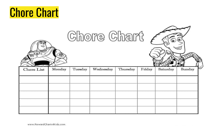### Chore Chart

| <b>Allentine</b> |        |         | Chore Chart |          |        |          |        |
|------------------|--------|---------|-------------|----------|--------|----------|--------|
| Chore List       | Monday | Tuesday | Wednesday   | Thursday | Friday | Saturday | Sunday |
|                  |        |         |             |          |        |          |        |
|                  |        |         |             |          |        |          |        |
|                  |        |         |             |          |        |          |        |
|                  |        |         |             |          |        |          |        |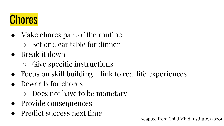### **Chores**

- Make chores part of the routine ○ Set or clear table for dinner
- Break it down
	- Give specific instructions
- $\bullet$  Focus on skill building  $+$  link to real life experiences
- Rewards for chores
	- Does not have to be monetary
- Provide consequences
- Predict success next time

Adapted from Child Mind Institute, (2020)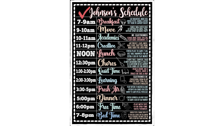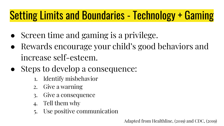### Setting Limits and Boundaries - Technology + Gaming

- Screen time and gaming is a privilege.
- Rewards encourage your child's good behaviors and increase self-esteem.
- Steps to develop a consequence:
	- 1. Identify misbehavior
	- 2. Give a warning
	- 3. Give a consequence
	- 4. Tell them why
	- 5. Use positive communication

Adapted from Healthline, (2019) and CDC, (2019)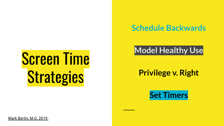# Screen Time **Strategies**

### **Schedule Backwards**

### **Model Healthy Use**

### **Privilege v. Right**

**Set Timers**

[Mark Bertin, M.D. 2019.](https://developmentaldoctor.com/)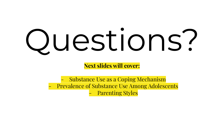# Questions?

**Next slides will cover:**

- Substance Use as a Coping Mechanism Prevalence of Substance Use Among Adolescents Parenting Styles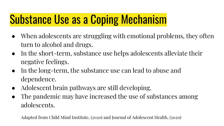### Substance Use as a Coping Mechanism

- When adolescents are struggling with emotional problems, they often turn to alcohol and drugs.
- In the short-term, substance use helps adolescents alleviate their negative feelings.
- In the long-term, the substance use can lead to abuse and dependence.
- Adolescent brain pathways are still developing.
- The pandemic may have increased the use of substances among adolescents.

Adapted from Child Mind Institute, (2020) and Journal of Adolescent Health, (2020)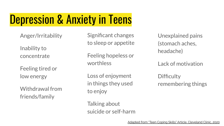### Depression & Anxiety in Teens

Anger/Irritability

Inability to concentrate

Feeling tired or low energy

Withdrawal from friends/family

Significant changes to sleep or appetite

Feeling hopeless or worthless

Loss of enjoyment in things they used to enjoy

Unexplained pains (stomach aches, headache)

Lack of motivation

**Difficulty** remembering things

Talking about suicide or self-harm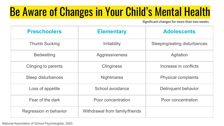### Be Aware of Changes in Your Child's Mental Health

Significant changes for more than two weeks

| <b>Preschoolers</b>    | <b>Elementary</b>              | <b>Adolescents</b>           |  |
|------------------------|--------------------------------|------------------------------|--|
| <b>Thumb Sucking</b>   | <b>Irritability</b>            | Sleeping/eating disturbances |  |
| <b>Bedwetting</b>      | Aggressiveness                 | Agitation                    |  |
| Clinging to parents    | <b>Clinginess</b>              | Increase in conflicts        |  |
| Sleep disturbances     | <b>Nightmares</b>              | <b>Physical complaints</b>   |  |
| Loss of appetite       | School avoidance               | Delinguent behavior          |  |
| Fear of the dark       | Poor concentration             | Poor concentration           |  |
| Regression in behavior | Withdrawal from family/friends |                              |  |

[National Association of School Psychologists, 2020.](https://www.nasponline.org/resources-and-publications/resources-and-podcasts/school-climate-safety-and-crisis/health-crisis-resources/helping-children-cope-with-changes-resulting-from-covid-19)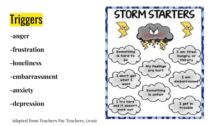

-**anger**

**-frustration**

**-loneliness**

**-embarrassment**

**-anxiety**

**-depression**

Adapted from Teachers Pay Teachers, (2019)

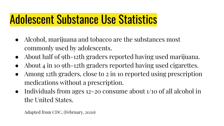### Adolescent Substance Use Statistics

- Alcohol, marijuana and tobacco are the substances most commonly used by adolescents.
- About half of 9th-12th graders reported having used marijuana.
- About 4 in 10 9th-12th graders reported having used cigarettes.
- Among 12th graders, close to 2 in 10 reported using prescription medications without a prescription.
- Individuals from ages 12–20 consume about 1/10 of all alcohol in the United States.

Adapted from CDC, (February, 2020)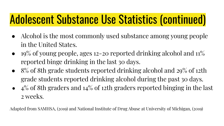### Adolescent Substance Use Statistics (continued)

- Alcohol is the most commonly used substance among young people in the United States.
- $19\%$  of young people, ages 12–20 reported drinking alcohol and  $11\%$ reported binge drinking in the last 30 days.
- 8% of 8th grade students reported drinking alcohol and 29% of 12th grade students reported drinking alcohol during the past 30 days.
- $\bullet$  4% of 8th graders and 14% of 12th graders reported binging in the last 2 weeks.

Adapted from SAMHSA, (2019) and National Institute of Drug Abuse at University of Michigan, (2019)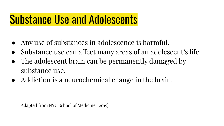### Substance Use and Adolescents

- Any use of substances in adolescence is harmful.
- Substance use can affect many areas of an adolescent's life.
- The adolescent brain can be permanently damaged by substance use.
- Addiction is a neurochemical change in the brain.

Adapted from NYU School of Medicine, (2019)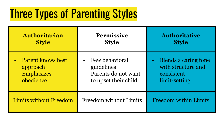### Three Types of Parenting Styles

| <b>Authoritarian</b>          | <b>Permissive</b>      | <b>Authoritative</b>         |
|-------------------------------|------------------------|------------------------------|
| <b>Style</b>                  | <b>Style</b>           | <b>Style</b>                 |
| - Parent knows best           | - Few behavioral       | <b>Blends a caring tone</b>  |
| approach                      | guidelines             | with structure and           |
| Emphasizes                    | - Parents do not want  | consistent                   |
| obedience                     | to upset their child   | limit-setting                |
| <b>Limits without Freedom</b> | Freedom without Limits | <b>Freedom within Limits</b> |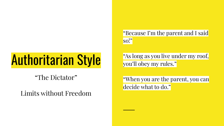# Authoritarian Style

"The Dictator"

Limits without Freedom

"Because I'm the parent and I said so!"

"As long as you live under my roof, you'll obey my rules."

"When you are the parent, you can decide what to do."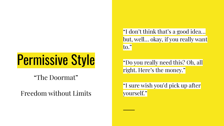# Permissive Style

"The Doormat"

Freedom without Limits

"I don't think that's a good idea… but, well… okay, if you really want to."

"Do you really need this? Oh, all right. Here's the money."

"I sure wish you'd pick up after yourself."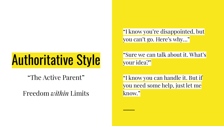## Authoritative Style

"The Active Parent"

Freedom *within* Limits

"I know you're disappointed, but you can't go. Here's why…"

"Sure we can talk about it. What's your idea?"

"I know you can handle it. But if you need some help, just let me know."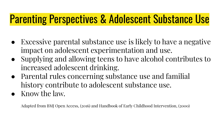### Parenting Perspectives & Adolescent Substance Use

- Excessive parental substance use is likely to have a negative impact on adolescent experimentation and use.
- Supplying and allowing teens to have alcohol contributes to increased adolescent drinking.
- Parental rules concerning substance use and familial history contribute to adolescent substance use.
- Know the law.

Adapted from BMJ Open Access, (2016) and Handbook of Early Childhood Intervention, (2000)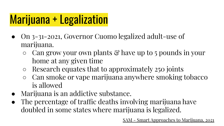### Marijuana + Legalization

- On 3-31-2021, Governor Cuomo legalized adult-use of marijuana.
	- $\circ$  Can grow your own plants  $\mathcal{C}$  have up to 5 pounds in your home at any given time
	- Research equates that to approximately 250 joints
	- Can smoke or vape marijuana anywhere smoking tobacco is allowed
- Marijuana is an addictive substance.
- The percentage of traffic deaths involving marijuana have doubled in some states where marijuana is legalized.

[SAM - Smart Approaches to Marijuana, 2021](https://learnaboutsam.org/)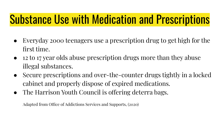### Substance Use with Medication and Prescriptions

- Everyday 2000 teenagers use a prescription drug to get high for the first time.
- 12 to 17 year olds abuse prescription drugs more than they abuse illegal substances.
- Secure prescriptions and over-the-counter drugs tightly in a locked cabinet and properly dispose of expired medications.
- The Harrison Youth Council is offering deterra bags.

Adapted from Office of Addictions Services and Supports, (2020)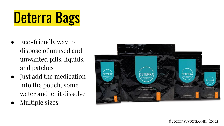# Deterra Bags

- Eco-friendly way to dispose of unused and unwanted pills, liquids, and patches
- Just add the medication into the pouch, some water and let it dissolve
- Multiple sizes



deterrasystem.com, (2021)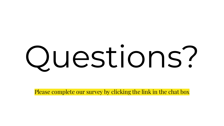# Questions?

Please complete our survey by clicking the link in the chat box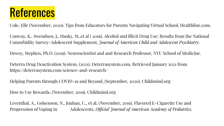### **References**

Cole, Elle (November, 2020). Tips from Educators for Parents Navigating Virtual School, Healthline.com.

Conway, K., Swendsen, J,, Husky, M.,et al ( 2016). Alcohol and Illicit Drug Use: Results from the National Comorbidity Survey-Adolescent Supplement, *Journal of American Child and Adolescent Psychiatry.*

Dewey, Stephen, Ph.D, (2019). Neuroscientist and and Research Professor, NYU School of Medicine.

Deterra Drug Deactivation System, (2021). Deterrasystem.com, Retrieved January 2021 from https://deterrasystem.com/science-and-research/

Helping Parents through COVID-19 and Beyond, (September, 2020). Childmind.org

How to Use Rewards, (November, 2019). Childmind.org

Leventhal, A., Golsenson, N., Juuhan, C., et al, (November, 2019). Flavored E-Cigarette Use and Progression of Vaping in Adolescents, *Official Journal of American Academy of Pediatrics.*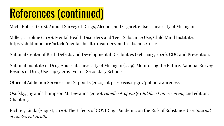### References (continued)

Mich, Robert (2018). Annual Survey of Drugs, Alcohol, and Cigarette Use, University of Michigan.

Miller, Caroline (2020). Mental Health Disorders and Teen Substance Use, Child Mind Institute. https://childmind.org/article/mental-health-disorders-and-substance-use/

National Center of Birth Defects and Developmental Disabilities (February, 2020). CDC and Prevention.

National Institute of Drug Abuse at University of Michigan (2019). Monitoring the Future: National Survey Results of Drug Use 1975-2019, Vol 11- Secondary Schools.

Office of Addiction Services and Supports (2020). https://oasas.ny.gov/public-awareness

Osofsky, Joy and Thompson M. Dewanna (2000). *Handbook of Early Childhood Intervention,* 2nd edition, Chapter 3.

Richter, Linda (August, 2020). The Effects of COVID-19-Pandemic on the Risk of Substance Use, *Journal of Adolescent Health.*